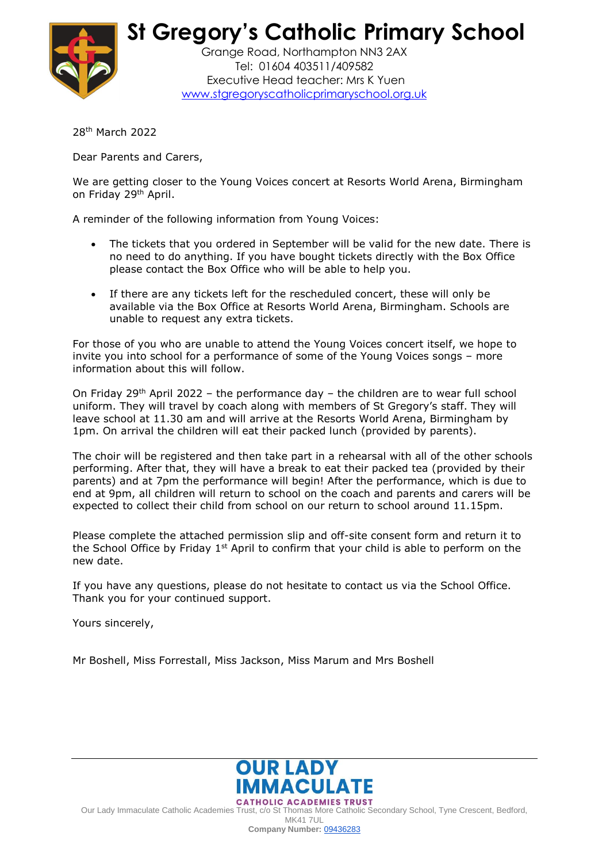

 **St Gregory's Catholic Primary School**

Grange Road, Northampton NN3 2AX Tel: 01604 403511/409582 Executive Head teacher: Mrs K Yuen [www.stgregoryscatholicprimaryschool.org.uk](http://www.stgregoryscatholicprimaryschool.org.uk/)

28th March 2022

Dear Parents and Carers,

We are getting closer to the Young Voices concert at Resorts World Arena, Birmingham on Friday 29th April.

A reminder of the following information from Young Voices:

- The tickets that you ordered in September will be valid for the new date. There is no need to do anything. If you have bought tickets directly with the Box Office please contact the Box Office who will be able to help you.
- If there are any tickets left for the rescheduled concert, these will only be available via the Box Office at Resorts World Arena, Birmingham. Schools are unable to request any extra tickets.

For those of you who are unable to attend the Young Voices concert itself, we hope to invite you into school for a performance of some of the Young Voices songs – more information about this will follow.

On Friday  $29<sup>th</sup>$  April 2022 – the performance day – the children are to wear full school uniform. They will travel by coach along with members of St Gregory's staff. They will leave school at 11.30 am and will arrive at the Resorts World Arena, Birmingham by 1pm. On arrival the children will eat their packed lunch (provided by parents).

The choir will be registered and then take part in a rehearsal with all of the other schools performing. After that, they will have a break to eat their packed tea (provided by their parents) and at 7pm the performance will begin! After the performance, which is due to end at 9pm, all children will return to school on the coach and parents and carers will be expected to collect their child from school on our return to school around 11.15pm.

Please complete the attached permission slip and off-site consent form and return it to the School Office by Friday 1<sup>st</sup> April to confirm that your child is able to perform on the new date.

If you have any questions, please do not hesitate to contact us via the School Office. Thank you for your continued support.

Yours sincerely,

Mr Boshell, Miss Forrestall, Miss Jackson, Miss Marum and Mrs Boshell



Our Lady Immaculate Catholic Academies Trust, c/o St Thomas More Catholic Secondary School, Tyne Crescent, Bedford,

**MK41 7UL** 

**Company Number:** [09436283](https://beta.companieshouse.gov.uk/company/09436283)